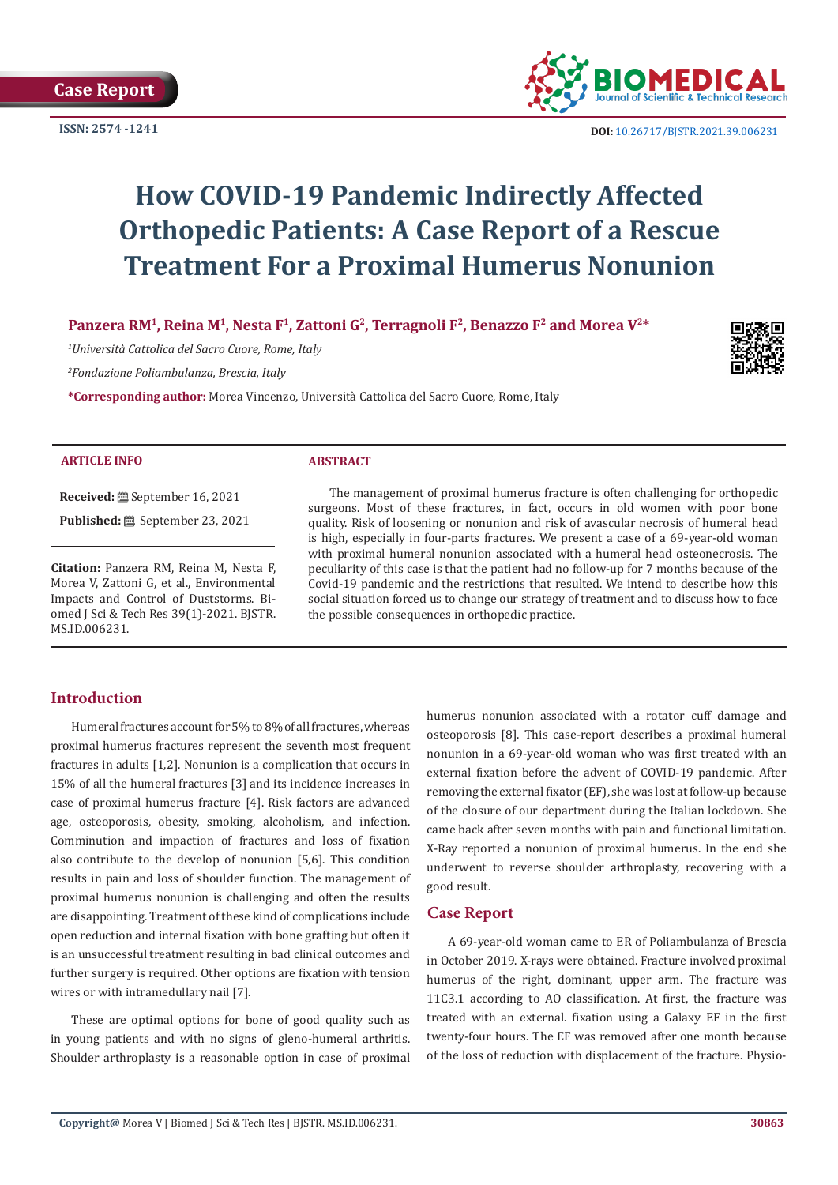**ISSN: 2574 -1241**



 **DOI:** [10.26717/BJSTR.2021.39.006231](https://dx.doi.org/10.26717/BJSTR.2021.39.006231)

# **How COVID-19 Pandemic Indirectly Affected Orthopedic Patients: A Case Report of a Rescue Treatment For a Proximal Humerus Nonunion**

Panzera RM<sup>1</sup>, Reina M<sup>1</sup>, Nesta F<sup>1</sup>, Zattoni G<sup>2</sup>, Terragnoli F<sup>2</sup>, Benazzo F<sup>2</sup> and Morea V<sup>2\*</sup>

*1 Università Cattolica del Sacro Cuore, Rome, Italy*

*2 Fondazione Poliambulanza, Brescia, Italy*

**\*Corresponding author:** Morea Vincenzo, Università Cattolica del Sacro Cuore, Rome, Italy



#### **ARTICLE INFO ABSTRACT**

**Received:** September 16, 2021

**Published:** September 23, 2021

**Citation:** Panzera RM, Reina M, Nesta F, Morea V, Zattoni G, et al., Environmental Impacts and Control of Duststorms. Biomed J Sci & Tech Res 39(1)-2021. BJSTR. MS.ID.006231.

The management of proximal humerus fracture is often challenging for orthopedic surgeons. Most of these fractures, in fact, occurs in old women with poor bone quality. Risk of loosening or nonunion and risk of avascular necrosis of humeral head is high, especially in four-parts fractures. We present a case of a 69-year-old woman with proximal humeral nonunion associated with a humeral head osteonecrosis. The peculiarity of this case is that the patient had no follow-up for 7 months because of the Covid-19 pandemic and the restrictions that resulted. We intend to describe how this social situation forced us to change our strategy of treatment and to discuss how to face the possible consequences in orthopedic practice.

# **Introduction**

Humeral fractures account for 5% to 8% of all fractures, whereas proximal humerus fractures represent the seventh most frequent fractures in adults [1,2]. Nonunion is a complication that occurs in 15% of all the humeral fractures [3] and its incidence increases in case of proximal humerus fracture [4]. Risk factors are advanced age, osteoporosis, obesity, smoking, alcoholism, and infection. Comminution and impaction of fractures and loss of fixation also contribute to the develop of nonunion [5,6]. This condition results in pain and loss of shoulder function. The management of proximal humerus nonunion is challenging and often the results are disappointing. Treatment of these kind of complications include open reduction and internal fixation with bone grafting but often it is an unsuccessful treatment resulting in bad clinical outcomes and further surgery is required. Other options are fixation with tension wires or with intramedullary nail [7].

These are optimal options for bone of good quality such as in young patients and with no signs of gleno-humeral arthritis. Shoulder arthroplasty is a reasonable option in case of proximal

humerus nonunion associated with a rotator cuff damage and osteoporosis [8]. This case-report describes a proximal humeral nonunion in a 69-year-old woman who was first treated with an external fixation before the advent of COVID-19 pandemic. After removing the external fixator (EF), she was lost at follow-up because of the closure of our department during the Italian lockdown. She came back after seven months with pain and functional limitation. X-Ray reported a nonunion of proximal humerus. In the end she underwent to reverse shoulder arthroplasty, recovering with a good result.

### **Case Report**

A 69-year-old woman came to ER of Poliambulanza of Brescia in October 2019. X-rays were obtained. Fracture involved proximal humerus of the right, dominant, upper arm. The fracture was 11C3.1 according to AO classification. At first, the fracture was treated with an external. fixation using a Galaxy EF in the first twenty-four hours. The EF was removed after one month because of the loss of reduction with displacement of the fracture. Physio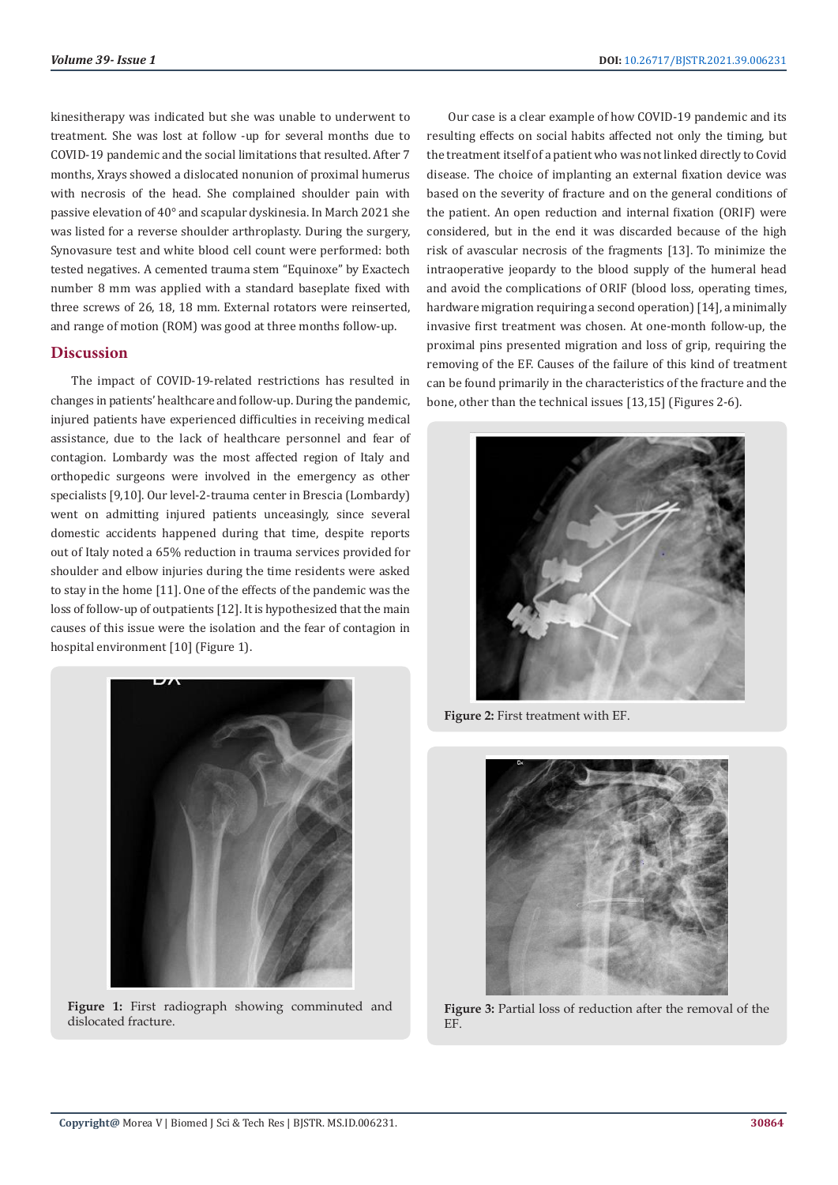kinesitherapy was indicated but she was unable to underwent to treatment. She was lost at follow -up for several months due to COVID-19 pandemic and the social limitations that resulted. After 7 months, Xrays showed a dislocated nonunion of proximal humerus with necrosis of the head. She complained shoulder pain with passive elevation of 40° and scapular dyskinesia. In March 2021 she was listed for a reverse shoulder arthroplasty. During the surgery, Synovasure test and white blood cell count were performed: both tested negatives. A cemented trauma stem "Equinoxe" by Exactech number 8 mm was applied with a standard baseplate fixed with three screws of 26, 18, 18 mm. External rotators were reinserted, and range of motion (ROM) was good at three months follow-up.

#### **Discussion**

The impact of COVID-19-related restrictions has resulted in changes in patients' healthcare and follow-up. During the pandemic, injured patients have experienced difficulties in receiving medical assistance, due to the lack of healthcare personnel and fear of contagion. Lombardy was the most affected region of Italy and orthopedic surgeons were involved in the emergency as other specialists [9,10]. Our level-2-trauma center in Brescia (Lombardy) went on admitting injured patients unceasingly, since several domestic accidents happened during that time, despite reports out of Italy noted a 65% reduction in trauma services provided for shoulder and elbow injuries during the time residents were asked to stay in the home [11]. One of the effects of the pandemic was the loss of follow-up of outpatients [12]. It is hypothesized that the main causes of this issue were the isolation and the fear of contagion in hospital environment [10] (Figure 1).



**Figure 1:** First radiograph showing comminuted and dislocated fracture.

Our case is a clear example of how COVID-19 pandemic and its resulting effects on social habits affected not only the timing, but the treatment itself of a patient who was not linked directly to Covid disease. The choice of implanting an external fixation device was based on the severity of fracture and on the general conditions of the patient. An open reduction and internal fixation (ORIF) were considered, but in the end it was discarded because of the high risk of avascular necrosis of the fragments [13]. To minimize the intraoperative jeopardy to the blood supply of the humeral head and avoid the complications of ORIF (blood loss, operating times, hardware migration requiring a second operation) [14], a minimally invasive first treatment was chosen. At one-month follow-up, the proximal pins presented migration and loss of grip, requiring the removing of the EF. Causes of the failure of this kind of treatment can be found primarily in the characteristics of the fracture and the bone, other than the technical issues [13,15] (Figures 2-6).



**Figure 2:** First treatment with EF.



**Figure 3:** Partial loss of reduction after the removal of the EF.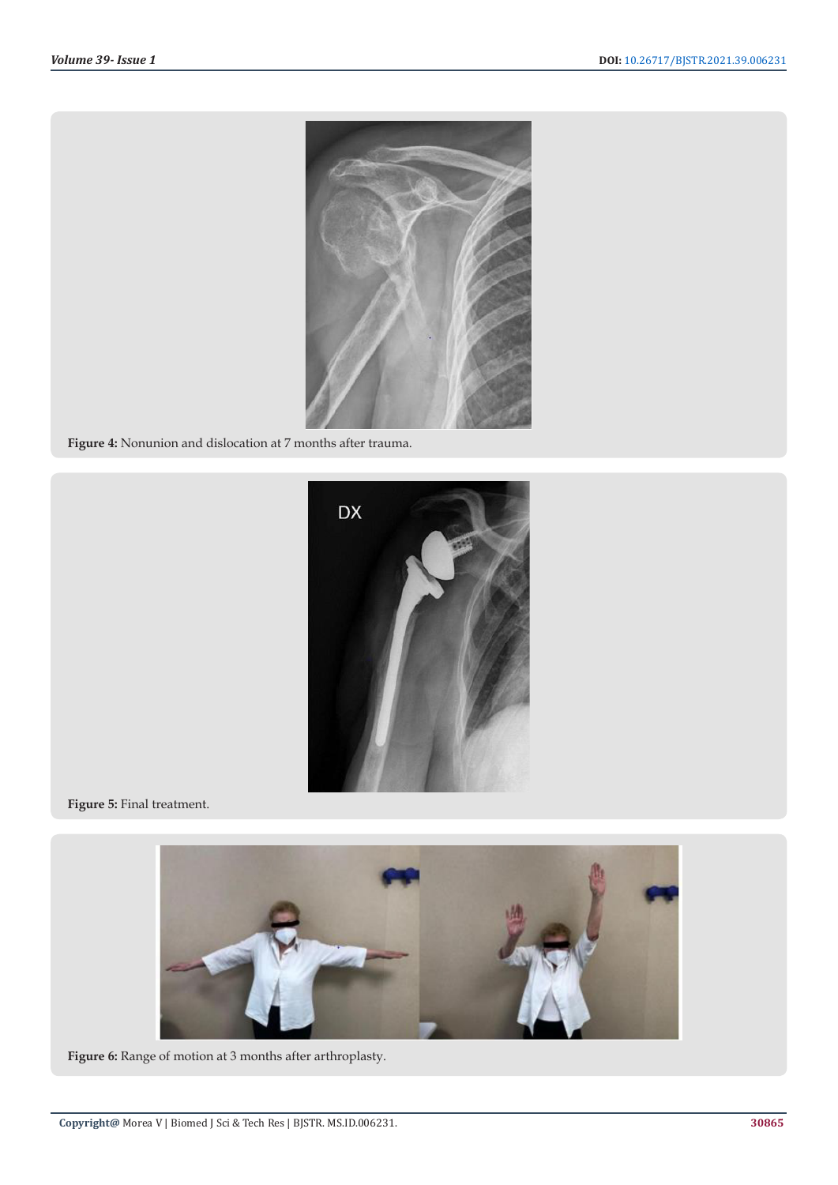

**Figure 4:** Nonunion and dislocation at 7 months after trauma.



**Figure 5:** Final treatment.



**Figure 6:** Range of motion at 3 months after arthroplasty.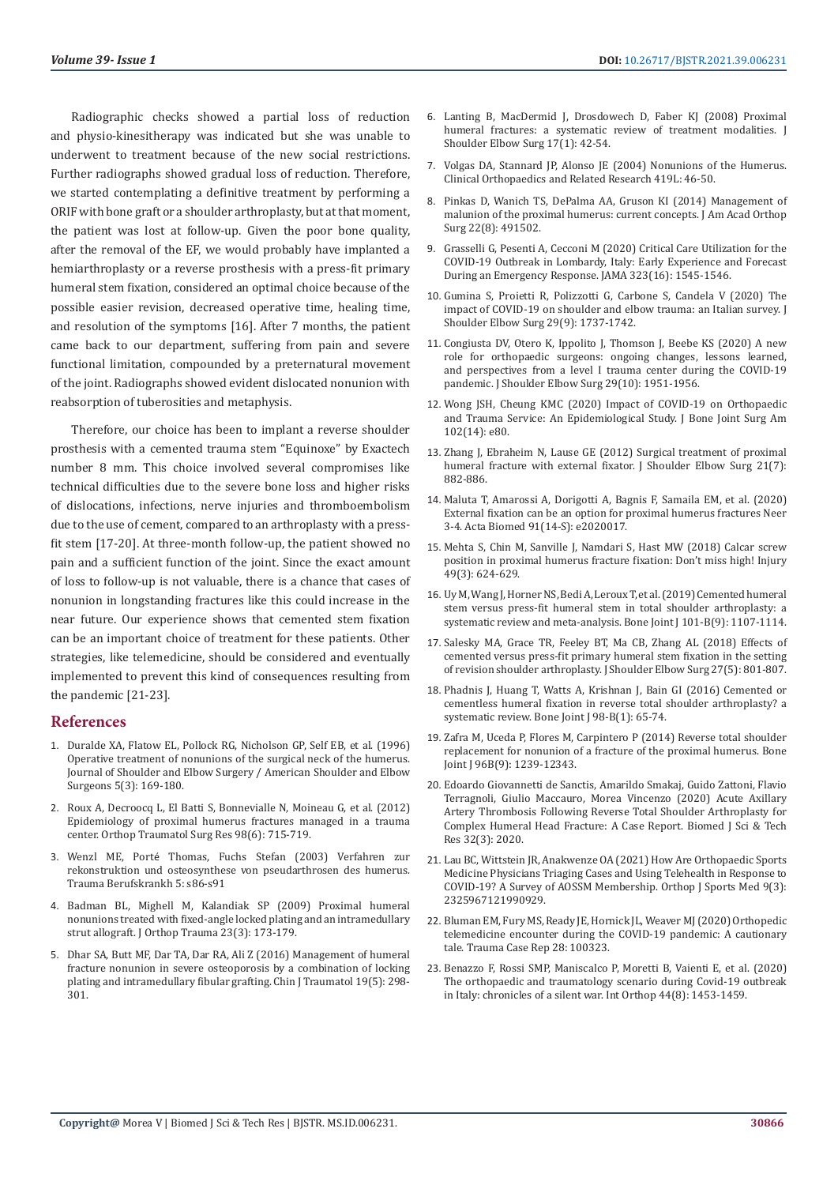Radiographic checks showed a partial loss of reduction and physio-kinesitherapy was indicated but she was unable to underwent to treatment because of the new social restrictions. Further radiographs showed gradual loss of reduction. Therefore, we started contemplating a definitive treatment by performing a ORIF with bone graft or a shoulder arthroplasty, but at that moment, the patient was lost at follow-up. Given the poor bone quality, after the removal of the EF, we would probably have implanted a hemiarthroplasty or a reverse prosthesis with a press-fit primary humeral stem fixation, considered an optimal choice because of the possible easier revision, decreased operative time, healing time, and resolution of the symptoms [16]. After 7 months, the patient came back to our department, suffering from pain and severe functional limitation, compounded by a preternatural movement of the joint. Radiographs showed evident dislocated nonunion with reabsorption of tuberosities and metaphysis.

Therefore, our choice has been to implant a reverse shoulder prosthesis with a cemented trauma stem "Equinoxe" by Exactech number 8 mm. This choice involved several compromises like technical difficulties due to the severe bone loss and higher risks of dislocations, infections, nerve injuries and thromboembolism due to the use of cement, compared to an arthroplasty with a pressfit stem [17-20]. At three-month follow-up, the patient showed no pain and a sufficient function of the joint. Since the exact amount of loss to follow-up is not valuable, there is a chance that cases of nonunion in longstanding fractures like this could increase in the near future. Our experience shows that cemented stem fixation can be an important choice of treatment for these patients. Other strategies, like telemedicine, should be considered and eventually implemented to prevent this kind of consequences resulting from the pandemic [21-23].

#### **References**

- 1. [Duralde XA, Flatow EL, Pollock RG, Nicholson GP, Self EB, et al. \(1996\)](https://www.jshoulderelbow.org/article/S1058-2746(05)80002-3/pdf)  [Operative treatment of nonunions of the surgical neck of the humerus.](https://www.jshoulderelbow.org/article/S1058-2746(05)80002-3/pdf)  [Journal of Shoulder and Elbow Surgery / American Shoulder and Elbow](https://www.jshoulderelbow.org/article/S1058-2746(05)80002-3/pdf)  [Surgeons 5\(3\): 169-180.](https://www.jshoulderelbow.org/article/S1058-2746(05)80002-3/pdf)
- 2. [Roux A, Decroocq L, El Batti S, Bonnevialle N, Moineau G, et al. \(2012\)](https://www.sciencedirect.com/science/article/pii/S1877056812001570?via%3Dihub)  [Epidemiology of proximal humerus fractures managed in a trauma](https://www.sciencedirect.com/science/article/pii/S1877056812001570?via%3Dihub)  [center. Orthop Traumatol Surg Res 98\(6\): 715-719.](https://www.sciencedirect.com/science/article/pii/S1877056812001570?via%3Dihub)
- 3. Wenzl ME, Porté [Thomas, Fuchs Stefan \(2003\) Verfahren zur](https://link.springer.com/article/10.1007/s10039-002-0606-y)  [rekonstruktion und osteosynthese von pseudarthrosen des humerus.](https://link.springer.com/article/10.1007/s10039-002-0606-y)  [Trauma Berufskrankh 5: s86-s91](https://link.springer.com/article/10.1007/s10039-002-0606-y)
- 4. [Badman BL, Mighell M, Kalandiak SP \(2009\) Proximal humeral](https://pubmed.ncbi.nlm.nih.gov/19516089/)  [nonunions treated with fixed-angle locked plating and an intramedullary](https://pubmed.ncbi.nlm.nih.gov/19516089/)  [strut allograft. J Orthop Trauma 23\(3\): 173-179.](https://pubmed.ncbi.nlm.nih.gov/19516089/)
- 5. [Dhar SA, Butt MF, Dar TA, Dar RA, Ali Z \(2016\) Management of humeral](https://www.ncbi.nlm.nih.gov/pmc/articles/PMC5068144/)  [fracture nonunion in severe osteoporosis by a combination of locking](https://www.ncbi.nlm.nih.gov/pmc/articles/PMC5068144/)  [plating and intramedullary fibular grafting. Chin J Traumatol 19\(5\): 298-](https://www.ncbi.nlm.nih.gov/pmc/articles/PMC5068144/) [301.](https://www.ncbi.nlm.nih.gov/pmc/articles/PMC5068144/)
- 6. [Lanting B, MacDermid J, Drosdowech D, Faber KJ \(2008\) Proximal](https://pubmed.ncbi.nlm.nih.gov/18308203/) [humeral fractures: a systematic review of treatment modalities. J](https://pubmed.ncbi.nlm.nih.gov/18308203/) [Shoulder Elbow Surg 17\(1\): 42-54.](https://pubmed.ncbi.nlm.nih.gov/18308203/)
- 7. [Volgas DA, Stannard JP, Alonso JE \(2004\) Nonunions of the Humerus.](https://journals.lww.com/clinorthop/Fulltext/2004/02000/Nonunions_of_the_Humerus.8.aspx) [Clinical Orthopaedics and Related Research 419L: 46-50.](https://journals.lww.com/clinorthop/Fulltext/2004/02000/Nonunions_of_the_Humerus.8.aspx)
- 8. [Pinkas D, Wanich TS, DePalma AA, Gruson KI \(2014\) Management of](https://pubmed.ncbi.nlm.nih.gov/25063747/) [malunion of the proximal humerus: current concepts. J Am Acad Orthop](https://pubmed.ncbi.nlm.nih.gov/25063747/) [Surg 22\(8\): 491502.](https://pubmed.ncbi.nlm.nih.gov/25063747/)
- 9. [Grasselli G, Pesenti A, Cecconi M \(2020\) Critical Care Utilization for the](https://pubmed.ncbi.nlm.nih.gov/32167538/) [COVID-19 Outbreak in Lombardy, Italy: Early Experience and Forecast](https://pubmed.ncbi.nlm.nih.gov/32167538/) [During an Emergency Response. JAMA 323\(16\): 1545-1546.](https://pubmed.ncbi.nlm.nih.gov/32167538/)
- 10. [Gumina S, Proietti R, Polizzotti G, Carbone S, Candela V \(2020\) The](https://pubmed.ncbi.nlm.nih.gov/32713663/) [impact of COVID-19 on shoulder and elbow trauma: an Italian survey. J](https://pubmed.ncbi.nlm.nih.gov/32713663/) [Shoulder Elbow Surg 29\(9\): 1737-1742.](https://pubmed.ncbi.nlm.nih.gov/32713663/)
- 11. [Congiusta DV, Otero K, Ippolito J, Thomson J, Beebe KS \(2020\) A new](https://pubmed.ncbi.nlm.nih.gov/32738400/) [role for orthopaedic surgeons: ongoing changes, lessons learned,](https://pubmed.ncbi.nlm.nih.gov/32738400/) [and perspectives from a level I trauma center during the COVID-19](https://pubmed.ncbi.nlm.nih.gov/32738400/) [pandemic. J Shoulder Elbow Surg 29\(10\): 1951-1956.](https://pubmed.ncbi.nlm.nih.gov/32738400/)
- 12. [Wong JSH, Cheung KMC \(2020\) Impact of COVID-19 on Orthopaedic](https://pubmed.ncbi.nlm.nih.gov/32675668/) [and Trauma Service: An Epidemiological Study. J Bone Joint Surg Am](https://pubmed.ncbi.nlm.nih.gov/32675668/) [102\(14\): e80.](https://pubmed.ncbi.nlm.nih.gov/32675668/)
- 13. [Zhang J, Ebraheim N, Lause GE \(2012\) Surgical treatment of proximal](https://pubmed.ncbi.nlm.nih.gov/22014614/) [humeral fracture with external fixator. J Shoulder Elbow Surg 21\(7\):](https://pubmed.ncbi.nlm.nih.gov/22014614/) [882-886.](https://pubmed.ncbi.nlm.nih.gov/22014614/)
- 14. [Maluta T, Amarossi A, Dorigotti A, Bagnis F, Samaila EM, et al. \(2020\)](https://pubmed.ncbi.nlm.nih.gov/33559622/) [External fixation can be an option for proximal humerus fractures Neer](https://pubmed.ncbi.nlm.nih.gov/33559622/) [3-4. Acta Biomed 91\(14-S\): e2020017.](https://pubmed.ncbi.nlm.nih.gov/33559622/)
- 15. [Mehta S, Chin M, Sanville J, Namdari S, Hast MW \(2018\) Calcar screw](https://pubmed.ncbi.nlm.nih.gov/29452734/) [position in proximal humerus fracture fixation: Don't miss high! Injury](https://pubmed.ncbi.nlm.nih.gov/29452734/) [49\(3\): 624-629.](https://pubmed.ncbi.nlm.nih.gov/29452734/)
- 16. [Uy M, Wang J, Horner NS, Bedi A, Leroux T, et al. \(2019\) Cemented humeral](https://pubmed.ncbi.nlm.nih.gov/31474140/) [stem versus press-fit humeral stem in total shoulder arthroplasty: a](https://pubmed.ncbi.nlm.nih.gov/31474140/) [systematic review and meta-analysis. Bone Joint J 101-B\(9\): 1107-1114.](https://pubmed.ncbi.nlm.nih.gov/31474140/)
- 17. [Salesky MA, Grace TR, Feeley BT, Ma CB, Zhang AL \(2018\) Effects of](https://pubmed.ncbi.nlm.nih.gov/26733517/) [cemented versus press-fit primary humeral stem fixation in the setting](https://pubmed.ncbi.nlm.nih.gov/26733517/) [of revision shoulder arthroplasty. J Shoulder Elbow Surg 27\(5\): 801-807.](https://pubmed.ncbi.nlm.nih.gov/26733517/)
- 18. [Phadnis J, Huang T, Watts A, Krishnan J, Bain GI \(2016\) Cemented or](https://pubmed.ncbi.nlm.nih.gov/26733517/) [cementless humeral fixation in reverse total shoulder arthroplasty? a](https://pubmed.ncbi.nlm.nih.gov/26733517/) [systematic review. Bone Joint J 98-B\(1\): 65-74.](https://pubmed.ncbi.nlm.nih.gov/26733517/)
- 19. [Zafra M, Uceda P, Flores M, Carpintero P \(2014\) Reverse total shoulder](https://pubmed.ncbi.nlm.nih.gov/25183597/) [replacement for nonunion of a fracture of the proximal humerus. Bone](https://pubmed.ncbi.nlm.nih.gov/25183597/) [Joint J 96B\(9\): 1239-12343.](https://pubmed.ncbi.nlm.nih.gov/25183597/)
- 20. [Edoardo Giovannetti de Sanctis, Amarildo Smakaj, Guido Zattoni, Flavio](https://biomedres.us/pdfs/BJSTR.MS.ID.005269.pdf) [Terragnoli, Giulio Maccauro, Morea Vincenzo \(2020\) Acute Axillary](https://biomedres.us/pdfs/BJSTR.MS.ID.005269.pdf) [Artery Thrombosis Following Reverse Total Shoulder Arthroplasty for](https://biomedres.us/pdfs/BJSTR.MS.ID.005269.pdf) [Complex Humeral Head Fracture: A Case Report. Biomed J Sci & Tech](https://biomedres.us/pdfs/BJSTR.MS.ID.005269.pdf) [Res 32\(3\): 2020.](https://biomedres.us/pdfs/BJSTR.MS.ID.005269.pdf)
- 21. [Lau BC, Wittstein JR, Anakwenze OA \(2021\) How Are Orthopaedic Sports](https://pubmed.ncbi.nlm.nih.gov/33738314/) [Medicine Physicians Triaging Cases and Using Telehealth in Response to](https://pubmed.ncbi.nlm.nih.gov/33738314/) [COVID-19? A Survey of AOSSM Membership. Orthop J Sports Med 9\(3\):](https://pubmed.ncbi.nlm.nih.gov/33738314/) [2325967121990929.](https://pubmed.ncbi.nlm.nih.gov/33738314/)
- 22. [Bluman EM, Fury MS, Ready JE, Hornick JL, Weaver MJ \(2020\) Orthopedic](https://www.ncbi.nlm.nih.gov/pmc/articles/PMC7320714/) [telemedicine encounter during the COVID-19 pandemic: A cautionary](https://www.ncbi.nlm.nih.gov/pmc/articles/PMC7320714/) [tale. Trauma Case Rep 28: 100323.](https://www.ncbi.nlm.nih.gov/pmc/articles/PMC7320714/)
- 23. [Benazzo F, Rossi SMP, Maniscalco P, Moretti B, Vaienti E, et al. \(2020\)](https://pubmed.ncbi.nlm.nih.gov/32591960/) [The orthopaedic and traumatology scenario during Covid-19 outbreak](https://pubmed.ncbi.nlm.nih.gov/32591960/) [in Italy: chronicles of a silent war. Int Orthop 44\(8\): 1453-1459.](https://pubmed.ncbi.nlm.nih.gov/32591960/)